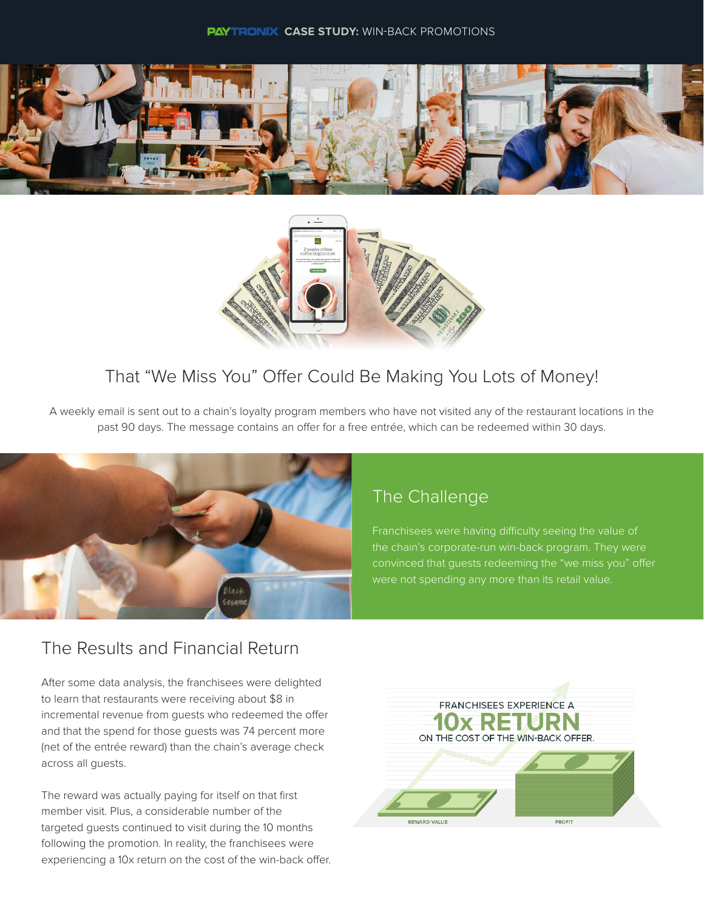



## That "We Miss You" Offer Could Be Making You Lots of Money!

A weekly email is sent out to a chain's loyalty program members who have not visited any of the restaurant locations in the past 90 days. The message contains an offer for a free entrée, which can be redeemed within 30 days.



# The Challenge

Franchisees were having difficulty seeing the value of the chain's corporate-run win-back program. They were convinced that guests redeeming the "we miss you" offer were not spending any more than its retail value.

## The Results and Financial Return

After some data analysis, the franchisees were delighted to learn that restaurants were receiving about \$8 in incremental revenue from guests who redeemed the offer and that the spend for those guests was 74 percent more (net of the entrée reward) than the chain's average check across all guests.

The reward was actually paying for itself on that first member visit. Plus, a considerable number of the targeted guests continued to visit during the 10 months following the promotion. In reality, the franchisees were experiencing a 10x return on the cost of the win-back offer.

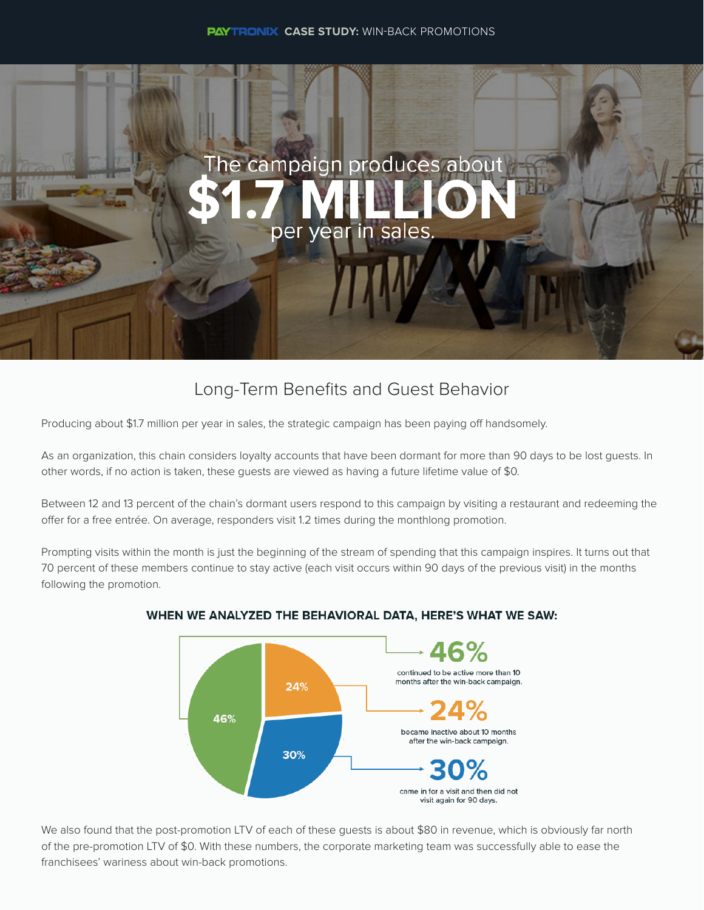

## Long-Term Benefits and Guest Behavior

Producing about \$1.7 million per year in sales, the strategic campaign has been paying off handsomely.

As an organization, this chain considers loyalty accounts that have been dormant for more than 90 days to be lost guests. In other words, if no action is taken, these guests are viewed as having a future lifetime value of \$0.

Between 12 and 13 percent of the chain's dormant users respond to this campaign by visiting a restaurant and redeeming the offer for a free entrée. On average, responders visit 1.2 times during the monthlong promotion.

Prompting visits within the month is just the beginning of the stream of spending that this campaign inspires. It turns out that 70 percent of these members continue to stay active (each visit occurs within 90 days of the previous visit) in the months following the promotion.



#### WHEN WE ANALYZED THE BEHAVIORAL DATA, HERE'S WHAT WE SAW:

We also found that the post-promotion LTV of each of these guests is about \$80 in revenue, which is obviously far north of the pre-promotion LTV of \$0. With these numbers, the corporate marketing team was successfully able to ease the franchisees' wariness about win-back promotions.